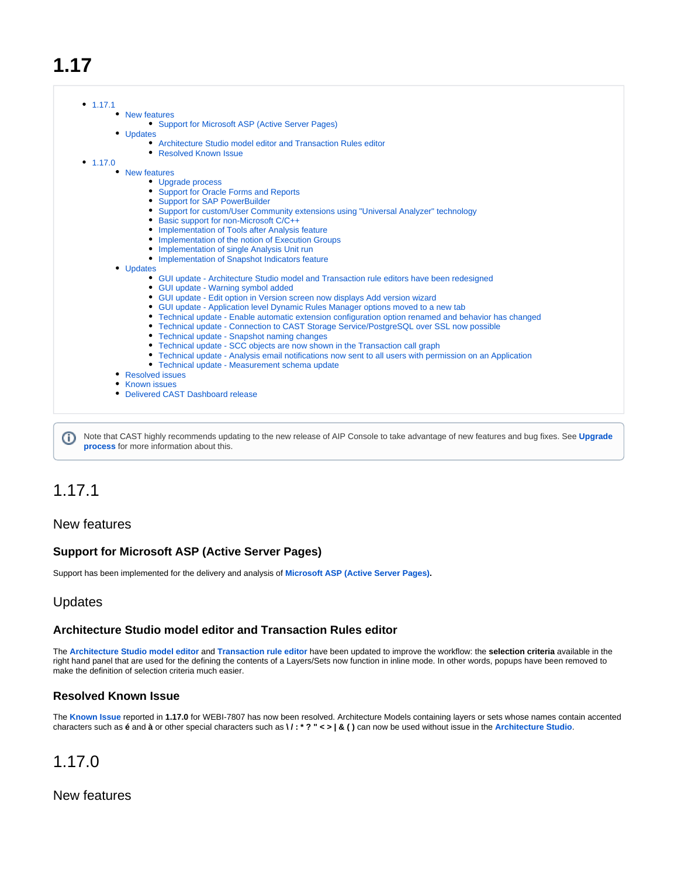# **1.17**

|            | • New features                                                                                                                           |
|------------|------------------------------------------------------------------------------------------------------------------------------------------|
|            | • Support for Microsoft ASP (Active Server Pages)                                                                                        |
|            | • Updates                                                                                                                                |
|            | • Architecture Studio model editor and Transaction Rules editor                                                                          |
|            | • Resolved Known Issue                                                                                                                   |
| • $1.17.0$ |                                                                                                                                          |
|            | • New features                                                                                                                           |
|            | • Upgrade process                                                                                                                        |
|            | • Support for Oracle Forms and Reports                                                                                                   |
|            | • Support for SAP PowerBuilder                                                                                                           |
|            | • Support for custom/User Community extensions using "Universal Analyzer" technology                                                     |
|            | • Basic support for non-Microsoft C/C++                                                                                                  |
|            | • Implementation of Tools after Analysis feature                                                                                         |
|            | • Implementation of the notion of Execution Groups                                                                                       |
|            | • Implementation of single Analysis Unit run                                                                                             |
|            | • Implementation of Snapshot Indicators feature                                                                                          |
|            | • Updates                                                                                                                                |
|            | • GUI update - Architecture Studio model and Transaction rule editors have been redesigned                                               |
|            | • GUI update - Warning symbol added                                                                                                      |
|            | • GUI update - Edit option in Version screen now displays Add version wizard                                                             |
|            | • GUI update - Application level Dynamic Rules Manager options moved to a new tab                                                        |
|            | • Technical update - Enable automatic extension configuration option renamed and behavior has changed                                    |
|            | • Technical update - Connection to CAST Storage Service/PostgreSQL over SSL now possible<br>• Technical update - Snapshot naming changes |
|            |                                                                                                                                          |
|            | • Technical update - SCC objects are now shown in the Transaction call graph                                                             |
|            | • Technical update - Analysis email notifications now sent to all users with permission on an Application                                |
|            | • Technical update - Measurement schema update                                                                                           |
|            | • Resolved issues                                                                                                                        |
|            | • Known issues<br>• Delivered CAST Dashboard release                                                                                     |

Note that CAST highly recommends updating to the new release of AIP Console to take advantage of new features and bug fixes. See **[Upgrade](https://doc.castsoftware.com/display/DASHBOARDS/Upgrade+process)  [process](https://doc.castsoftware.com/display/DASHBOARDS/Upgrade+process)** for more information about this.

# <span id="page-0-0"></span>1.17.1

# <span id="page-0-1"></span>New features

# <span id="page-0-2"></span>**Support for Microsoft ASP (Active Server Pages)**

Support has been implemented for the delivery and analysis of **[Microsoft ASP \(Active Server Pages\)](https://doc.castsoftware.com/display/TECHNOS/ASP).**

# <span id="page-0-3"></span>Updates

#### <span id="page-0-4"></span>**Architecture Studio model editor and Transaction Rules editor**

The **[Architecture Studio model editor](https://doc.castsoftware.com/display/AIPCONSOLE/AIP+Console+-+Architecture+Studio+-+Model+editor)** and **[Transaction rule editor](https://doc.castsoftware.com/display/AIPCONSOLE/Application+-+Transactions+-+Rules)** have been updated to improve the workflow: the **selection criteria** available in the right hand panel that are used for the defining the contents of a Layers/Sets now function in inline mode. In other words, popups have been removed to make the definition of selection criteria much easier.

#### <span id="page-0-5"></span>**Resolved Known Issue**

The **Known Issue** reported in **1.17.0** for WEBI-7807 has now been resolved. Architecture Models containing layers or sets whose names contain accented characters such as **é** and **à** or other special characters such as **\ / : \* ? " < > | & ( )** can now be used without issue in the **[Architecture Studio](https://doc.castsoftware.com/display/AIPCONSOLE/AIP+Console+-+Architecture+Studio)**.

# <span id="page-0-6"></span>1.17.0

<span id="page-0-8"></span><span id="page-0-7"></span>New features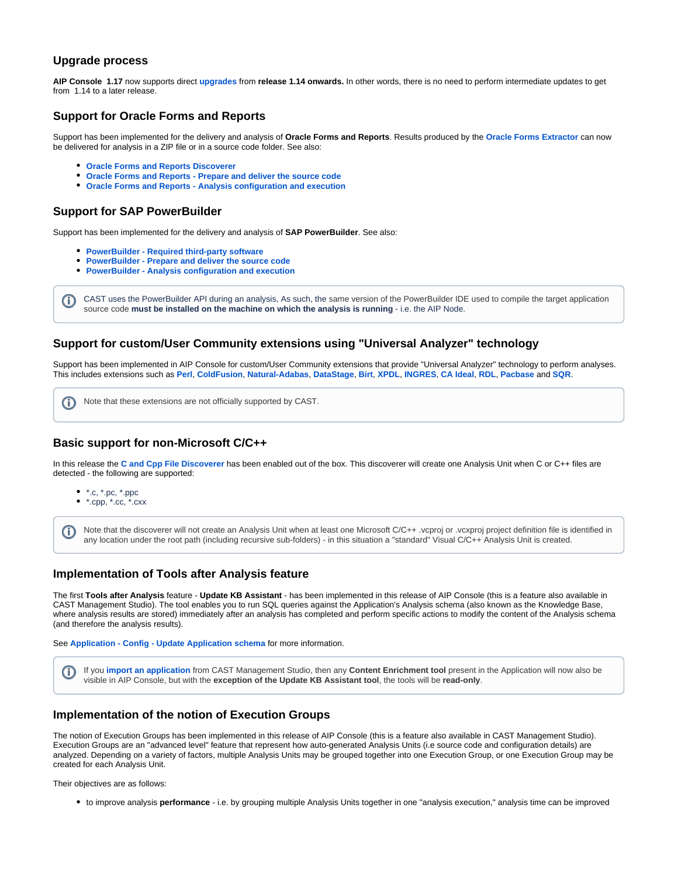#### **Upgrade process**

**AIP Console 1.17** now supports direct **[upgrades](https://doc.castsoftware.com/display/DASHBOARDS/Upgrade+process)** from **release 1.14 onwards.** In other words, there is no need to perform intermediate updates to get from 1.14 to a later release.

#### <span id="page-1-0"></span>**Support for Oracle Forms and Reports**

Support has been implemented for the delivery and analysis of **Oracle Forms and Reports**. Results produced by the **[Oracle Forms Extractor](https://doc.castsoftware.com/display/DOCCOM/CAST+Oracle+Forms+Extractor)** can now be delivered for analysis in a ZIP file or in a source code folder. See also:

- **[Oracle Forms and Reports Discoverer](https://doc.castsoftware.com/display/TECHNOS/Oracle+Forms+and+Reports+Discoverer)**
- **[Oracle Forms and Reports Prepare and deliver the source code](https://doc.castsoftware.com/display/TECHNOS/Oracle+Forms+and+Reports+-+Prepare+and+deliver+the+source+code)**
- **[Oracle Forms and Reports Analysis configuration and execution](https://doc.castsoftware.com/display/TECHNOS/Oracle+Forms+and+Reports+-+Analysis+configuration+and+execution)**

#### <span id="page-1-1"></span>**Support for SAP PowerBuilder**

Support has been implemented for the delivery and analysis of **SAP PowerBuilder**. See also:

- **[PowerBuilder Required third-party software](https://doc.castsoftware.com/display/TECHNOS/PowerBuilder+-+Required+third-party+software)**
- **[PowerBuilder Prepare and deliver the source code](https://doc.castsoftware.com/display/TECHNOS/PowerBuilder+-+Prepare+and+deliver+the+source+code)**
- **[PowerBuilder Analysis configuration and execution](https://doc.castsoftware.com/display/TECHNOS/PowerBuilder+-+Analysis+configuration+and+execution)**

CAST uses the PowerBuilder API during an analysis, As such, the same version of the PowerBuilder IDE used to compile the target application G) source code **must be installed on the machine on which the analysis is running** - i.e. the AIP Node.

#### <span id="page-1-2"></span>**Support for custom/User Community extensions using "Universal Analyzer" technology**

Support has been implemented in AIP Console for custom/User Community extensions that provide "Universal Analyzer" technology to perform analyses. This includes extensions such as **[Perl](https://extend.castsoftware.com/#/extension?id=com.castsoftware.uc.Perl&version=latest)**, **[ColdFusion](https://extend.castsoftware.com/#/extension?id=com.castsoftware.uc.ColdFusion&version=latest)**, **[Natural-Adabas](https://extend.castsoftware.com/#/extension?id=com.castsoftware.uc.natural.adabas&version=latest)**, **[DataStage](https://extend.castsoftware.com/#/extension?id=com.castsoftware.uc.datastage&version=latest)**, **[Birt](https://extend.castsoftware.com/#/extension?id=com.castsoftware.uc.birt&version=latest)**, **[XPDL](https://extend.castsoftware.com/#/extension?id=com.castsoftware.uc.xpdl&version=latest)**, **[INGRES](https://extend.castsoftware.com/#/extension?id=com.castsoftware.uc.ingres&version=latest)**, **[CA Ideal](https://extend.castsoftware.com/#/extension?id=com.castsoftware.uc.caideal&version=latest)**, **[RDL](https://extend.castsoftware.com/#/extension?id=com.castsoftware.uc.rdl&version=latest)**, **[Pacbase](https://extend.castsoftware.com/#/extension?id=com.castsoftware.uc.pacbase&version=latest)** and **[SQR](https://extend.castsoftware.com/#/extension?id=com.castsoftware.uc.sqr&version=latest)**.

Note that these extensions are not officially supported by CAST. O

#### <span id="page-1-3"></span>**Basic support for non-Microsoft C/C++**

In this release the **[C and Cpp File Discoverer](https://doc.castsoftware.com/display/TECHNOS/C+and+Cpp+File+Discoverer)** has been enabled out of the box. This discoverer will create one Analysis Unit when C or C++ files are detected - the following are supported:

- $\bullet$  \*.c, \*.pc, \*.ppc
- $*$ .cpp,  $*$ .cc,  $*$ .cxx

Note that the discoverer will not create an Analysis Unit when at least one Microsoft C/C++ .vcproj or .vcxproj project definition file is identified in any location under the root path (including recursive sub-folders) - in this situation a "standard" Visual C/C++ Analysis Unit is created.

#### <span id="page-1-4"></span>**Implementation of Tools after Analysis feature**

The first **Tools after Analysis** feature - **Update KB Assistant** - has been implemented in this release of AIP Console (this is a feature also available in CAST Management Studio). The tool enables you to run SQL queries against the Application's Analysis schema (also known as the Knowledge Base, where analysis results are stored) immediately after an analysis has completed and perform specific actions to modify the content of the Analysis schema (and therefore the analysis results).

See **[Application - Config - Update Application schema](https://doc.castsoftware.com/display/AIPCONSOLE/Application+-+Config+-+Update+Application+schema)** for more information.

If you **[import an application](https://doc.castsoftware.com/display/DASHBOARDS/Import+an+Application+managed+with+CAST+Management+Studio+into+AIP+Console)** from CAST Management Studio, then any **Content Enrichment tool** present in the Application will now also be visible in AIP Console, but with the **exception of the Update KB Assistant tool**, the tools will be **read-only**.

#### <span id="page-1-5"></span>**Implementation of the notion of Execution Groups**

The notion of Execution Groups has been implemented in this release of AIP Console (this is a feature also available in CAST Management Studio). Execution Groups are an "advanced level" feature that represent how auto-generated Analysis Units (i.e source code and configuration details) are analyzed. Depending on a variety of factors, multiple Analysis Units may be grouped together into one Execution Group, or one Execution Group may be created for each Analysis Unit.

Their objectives are as follows:

to improve analysis **performance** - i.e. by grouping multiple Analysis Units together in one "analysis execution," analysis time can be improved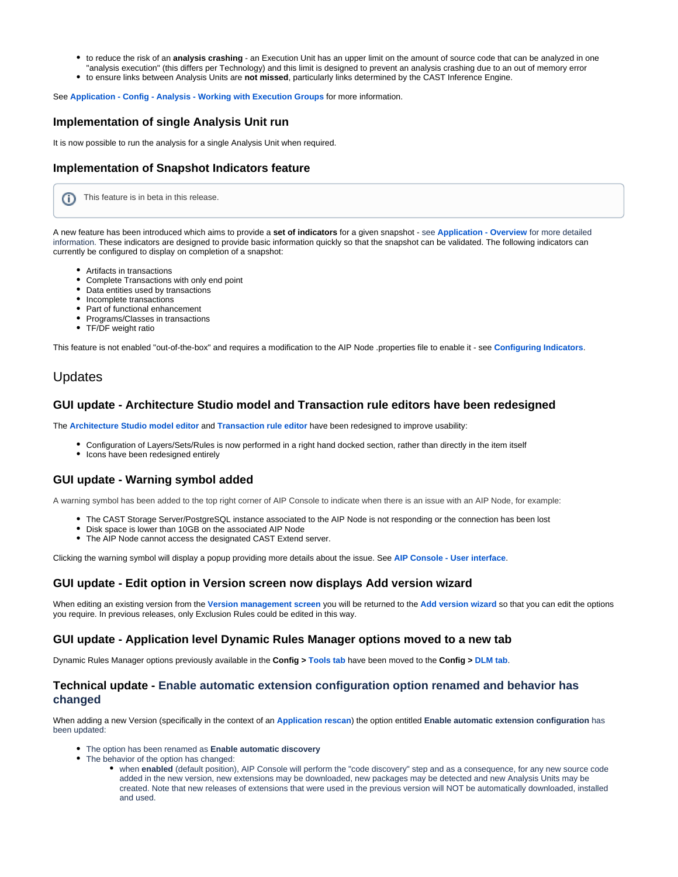- to reduce the risk of an **analysis crashing** an Execution Unit has an upper limit on the amount of source code that can be analyzed in one "analysis execution" (this differs per Technology) and this limit is designed to prevent an analysis crashing due to an out of memory error
- to ensure links between Analysis Units are **not missed**, particularly links determined by the CAST Inference Engine.

See **[Application - Config - Analysis - Working with Execution Groups](https://doc.castsoftware.com/display/AIPCONSOLE/Application+-+Config+-+Analysis+-+Working+with+Execution+Groups)** for more information.

#### <span id="page-2-0"></span>**Implementation of single Analysis Unit run**

It is now possible to run the analysis for a single Analysis Unit when required.

#### <span id="page-2-1"></span>**Implementation of Snapshot Indicators feature**

This feature is in beta in this release.G)

A new feature has been introduced which aims to provide a **set of indicators** for a given snapshot - see **[Application - Overview](https://doc.castsoftware.com/display/AIPCONSOLE/Application+-+Overview)** for more detailed information. These indicators are designed to provide basic information quickly so that the snapshot can be validated. The following indicators can currently be configured to display on completion of a snapshot:

- Artifacts in transactions
- Complete Transactions with only end point
- Data entities used by transactions
- Incomplete transactions
- Part of functional enhancement
- Programs/Classes in transactions
- TF/DF weight ratio

This feature is not enabled "out-of-the-box" and requires a modification to the AIP Node .properties file to enable it - see **[Configuring Indicators](https://doc.castsoftware.com/display/AIPCONSOLE/Configuring+Indicators)**.

#### <span id="page-2-2"></span>Updates

#### <span id="page-2-3"></span>**GUI update - Architecture Studio model and Transaction rule editors have been redesigned**

The **[Architecture Studio model editor](https://doc.castsoftware.com/display/AIPCONSOLE/AIP+Console+-+Architecture+Studio+-+Model+editor)** and **[Transaction rule editor](https://doc.castsoftware.com/display/AIPCONSOLE/Application+-+Transactions+-+Rules)** have been redesigned to improve usability:

- Configuration of Layers/Sets/Rules is now performed in a right hand docked section, rather than directly in the item itself
- Icons have been redesigned entirely

#### <span id="page-2-4"></span>**GUI update - Warning symbol added**

A warning symbol has been added to the top right corner of AIP Console to indicate when there is an issue with an AIP Node, for example:

- The CAST Storage Server/PostgreSQL instance associated to the AIP Node is not responding or the connection has been lost
- Disk space is lower than 10GB on the associated AIP Node
- The AIP Node cannot access the designated CAST Extend server.

Clicking the warning symbol will display a popup providing more details about the issue. See **[AIP Console - User interface](https://doc.castsoftware.com/display/AIPCONSOLE/AIP+Console+-+User+interface)**.

#### <span id="page-2-5"></span>**GUI update - Edit option in Version screen now displays Add version wizard**

When editing an existing version from the **[Version management screen](https://doc.castsoftware.com/display/AIPCONSOLE/Application+-+Versions)** you will be returned to the **[Add version wizard](https://doc.castsoftware.com/display/DASHBOARDS/Standard+onboarding+-+add+a+new+Version+-+deliver+code+-+generate+snapshot)** so that you can edit the options you require. In previous releases, only Exclusion Rules could be edited in this way.

#### <span id="page-2-6"></span>**GUI update - Application level Dynamic Rules Manager options moved to a new tab**

Dynamic Rules Manager options previously available in the **Config > [Tools tab](https://doc.castsoftware.com/display/AIPCONSOLE/Application+-+Config+-+Update+Application+schema)** have been moved to the **Config > [DLM tab](https://doc.castsoftware.com/display/AIPCONSOLE/Application+-+Config+-+Dynamic+Links+Rules)**.

#### <span id="page-2-7"></span>**Technical update - Enable automatic extension configuration option renamed and behavior has changed**

When adding a new Version (specifically in the context of an **[Application rescan](https://doc.castsoftware.com/display/DASHBOARDS/Application+Rescan+for+AIP+for+Dashboards)**) the option entitled **Enable automatic extension configuration** has been updated:

- The option has been renamed as **Enable automatic discovery**
- The behavior of the option has changed:
	- when **enabled** (default position), AIP Console will perform the "code discovery" step and as a consequence, for any new source code added in the new version, new extensions may be downloaded, new packages may be detected and new Analysis Units may be created. Note that new releases of extensions that were used in the previous version will NOT be automatically downloaded, installed and used.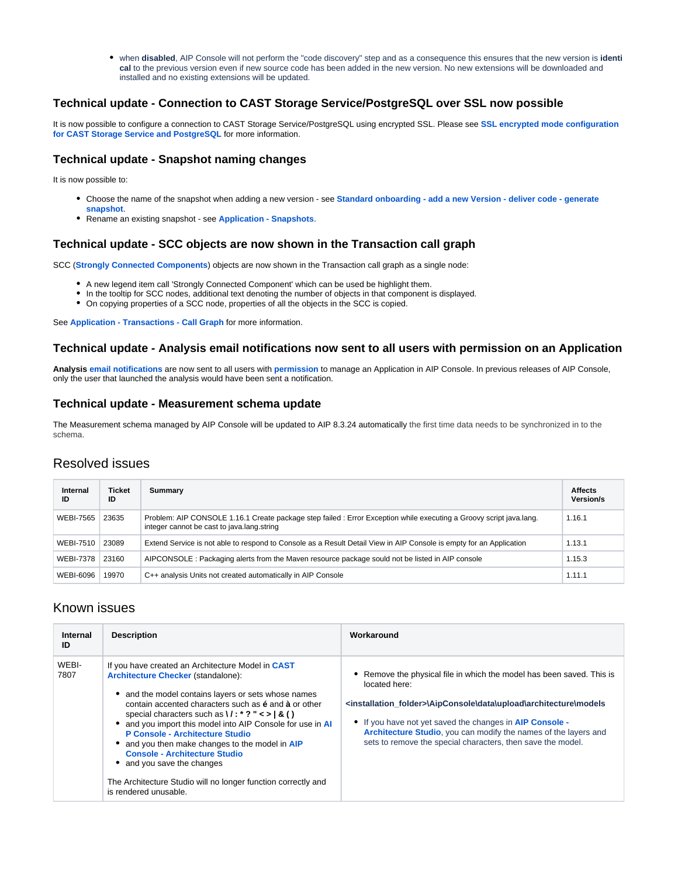when **disabled**, AIP Console will not perform the "code discovery" step and as a consequence this ensures that the new version is **identi cal** to the previous version even if new source code has been added in the new version. No new extensions will be downloaded and installed and no existing extensions will be updated.

#### <span id="page-3-0"></span>**Technical update - Connection to CAST Storage Service/PostgreSQL over SSL now possible**

It is now possible to configure a connection to CAST Storage Service/PostgreSQL using encrypted SSL. Please see **[SSL encrypted mode configuration](https://doc.castsoftware.com/display/STORAGE/SSL+encrypted+mode+configuration+for+CAST+Storage+Service+and+PostgreSQL)  [for CAST Storage Service and PostgreSQL](https://doc.castsoftware.com/display/STORAGE/SSL+encrypted+mode+configuration+for+CAST+Storage+Service+and+PostgreSQL)** for more information.

#### <span id="page-3-1"></span>**Technical update - Snapshot naming changes**

It is now possible to:

- Choose the name of the snapshot when adding a new version see **[Standard onboarding add a new Version deliver code generate](https://doc.castsoftware.com/display/DASHBOARDS/Standard+onboarding+-+add+a+new+Version+-+deliver+code+-+generate+snapshot)  [snapshot](https://doc.castsoftware.com/display/DASHBOARDS/Standard+onboarding+-+add+a+new+Version+-+deliver+code+-+generate+snapshot)**.
- Rename an existing snapshot see **[Application Snapshots](https://doc.castsoftware.com/display/AIPCONSOLE/Application+-+Snapshots)**.

#### <span id="page-3-2"></span>**Technical update - SCC objects are now shown in the Transaction call graph**

SCC (**[Strongly Connected Components](https://en.wikipedia.org/wiki/Strongly_connected_component)**) objects are now shown in the Transaction call graph as a single node:

- A new legend item call 'Strongly Connected Component' which can be used be highlight them.
- In the tooltip for SCC nodes, additional text denoting the number of objects in that component is displayed.
- On copying properties of a SCC node, properties of all the objects in the SCC is copied.

See **[Application - Transactions - Call Graph](https://doc.castsoftware.com/display/AIPCONSOLE/Application+-+Transactions+-+Call+Graph)** for more information.

#### <span id="page-3-3"></span>**Technical update - Analysis email notifications now sent to all users with permission on an Application**

**Analysis [email notifications](https://doc.castsoftware.com/display/AIPCONSOLE/Configuring+email+notifications)** are now sent to all users with **[permission](https://doc.castsoftware.com/display/AIPCONSOLE/Administration+Center+-+Security)** to manage an Application in AIP Console. In previous releases of AIP Console, only the user that launched the analysis would have been sent a notification.

#### <span id="page-3-4"></span>**Technical update - Measurement schema update**

The Measurement schema managed by AIP Console will be updated to AIP 8.3.24 automatically the first time data needs to be synchronized in to the schema.

# <span id="page-3-5"></span>Resolved issues

| <b>Internal</b><br>ID | <b>Ticket</b><br>ID | Summary                                                                                                                                                           | <b>Affects</b><br>Version/s |
|-----------------------|---------------------|-------------------------------------------------------------------------------------------------------------------------------------------------------------------|-----------------------------|
| <b>WEBI-7565</b>      | 23635               | Problem: AIP CONSOLE 1.16.1 Create package step failed : Error Exception while executing a Groovy script java.lang.<br>integer cannot be cast to java.lang.string |                             |
| <b>WEBI-7510</b>      | 23089               | Extend Service is not able to respond to Console as a Result Detail View in AIP Console is empty for an Application                                               |                             |
| <b>WEBI-7378</b>      | 23160               | AIPCONSOLE: Packaging alerts from the Maven resource package sould not be listed in AIP console                                                                   |                             |
| <b>WEBI-6096</b>      | 19970               | C++ analysis Units not created automatically in AIP Console                                                                                                       | 1.11.1                      |

### <span id="page-3-6"></span>Known issues

<span id="page-3-7"></span>

| Internal<br>ID | <b>Description</b>                                                                                                                                                                                                                                                                                                                                                                                                                                                                                                                                                                                                   | Workaround                                                                                                                                                                                                                                                                                                                                                                  |
|----------------|----------------------------------------------------------------------------------------------------------------------------------------------------------------------------------------------------------------------------------------------------------------------------------------------------------------------------------------------------------------------------------------------------------------------------------------------------------------------------------------------------------------------------------------------------------------------------------------------------------------------|-----------------------------------------------------------------------------------------------------------------------------------------------------------------------------------------------------------------------------------------------------------------------------------------------------------------------------------------------------------------------------|
| WEBI-<br>7807  | If you have created an Architecture Model in CAST<br>Architecture Checker (standalone):<br>• and the model contains layers or sets whose names<br>contain accented characters such as e and a or other<br>special characters such as $\frac{1}{2}$ $\cdot$ $\cdot$ ? " $\le$ $\cdot$ $\mid$ & ()<br>• and you import this model into AIP Console for use in AI<br>P Console - Architecture Studio<br>• and you then make changes to the model in AIP<br><b>Console - Architecture Studio</b><br>• and you save the changes<br>The Architecture Studio will no longer function correctly and<br>is rendered unusable. | Remove the physical file in which the model has been saved. This is<br>located here:<br><installation folder="">\AipConsole\data\upload\architecture\models<br/>• If you have not yet saved the changes in AIP Console -<br/>Architecture Studio, you can modify the names of the layers and<br/>sets to remove the special characters, then save the model.</installation> |